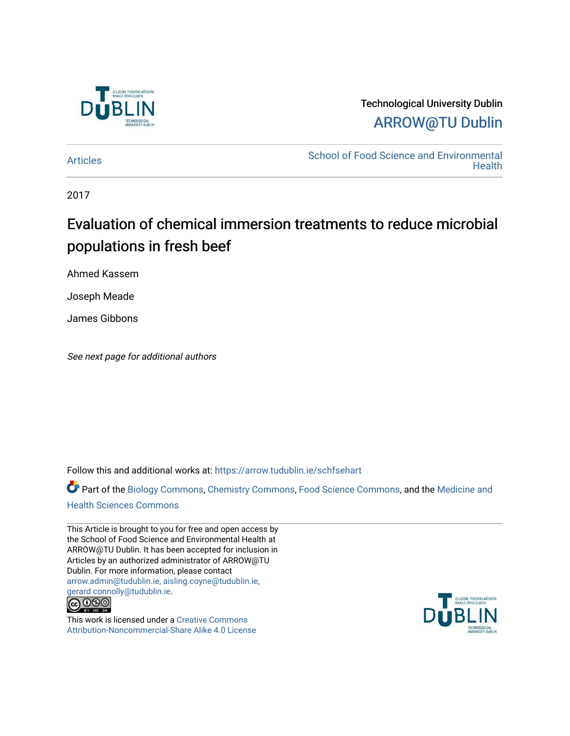

# Technological University Dublin [ARROW@TU Dublin](https://arrow.tudublin.ie/)

[Articles](https://arrow.tudublin.ie/schfsehart) **School of Food Science and Environmental Health** 

2017

# Evaluation of chemical immersion treatments to reduce microbial populations in fresh beef

Ahmed Kassem

Joseph Meade

James Gibbons

See next page for additional authors

Follow this and additional works at: [https://arrow.tudublin.ie/schfsehart](https://arrow.tudublin.ie/schfsehart?utm_source=arrow.tudublin.ie%2Fschfsehart%2F462&utm_medium=PDF&utm_campaign=PDFCoverPages) 

Part of the [Biology Commons,](http://network.bepress.com/hgg/discipline/41?utm_source=arrow.tudublin.ie%2Fschfsehart%2F462&utm_medium=PDF&utm_campaign=PDFCoverPages) [Chemistry Commons,](http://network.bepress.com/hgg/discipline/131?utm_source=arrow.tudublin.ie%2Fschfsehart%2F462&utm_medium=PDF&utm_campaign=PDFCoverPages) [Food Science Commons,](http://network.bepress.com/hgg/discipline/84?utm_source=arrow.tudublin.ie%2Fschfsehart%2F462&utm_medium=PDF&utm_campaign=PDFCoverPages) and the [Medicine and](http://network.bepress.com/hgg/discipline/648?utm_source=arrow.tudublin.ie%2Fschfsehart%2F462&utm_medium=PDF&utm_campaign=PDFCoverPages)

### [Health Sciences Commons](http://network.bepress.com/hgg/discipline/648?utm_source=arrow.tudublin.ie%2Fschfsehart%2F462&utm_medium=PDF&utm_campaign=PDFCoverPages)

This Article is brought to you for free and open access by the School of Food Science and Environmental Health at ARROW@TU Dublin. It has been accepted for inclusion in Articles by an authorized administrator of ARROW@TU Dublin. For more information, please contact [arrow.admin@tudublin.ie, aisling.coyne@tudublin.ie,](mailto:arrow.admin@tudublin.ie,%20aisling.coyne@tudublin.ie,%20gerard.connolly@tudublin.ie)  [gerard.connolly@tudublin.ie](mailto:arrow.admin@tudublin.ie,%20aisling.coyne@tudublin.ie,%20gerard.connolly@tudublin.ie).



This work is licensed under a [Creative Commons](http://creativecommons.org/licenses/by-nc-sa/4.0/) [Attribution-Noncommercial-Share Alike 4.0 License](http://creativecommons.org/licenses/by-nc-sa/4.0/)

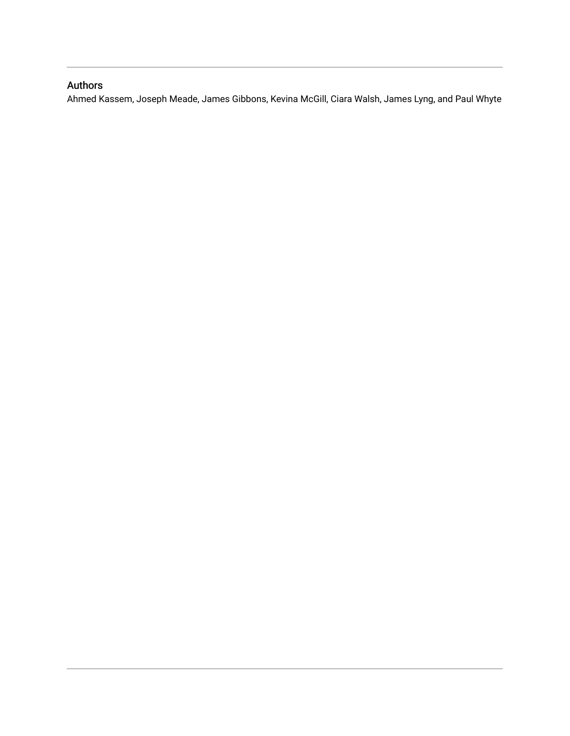## Authors

Ahmed Kassem, Joseph Meade, James Gibbons, Kevina McGill, Ciara Walsh, James Lyng, and Paul Whyte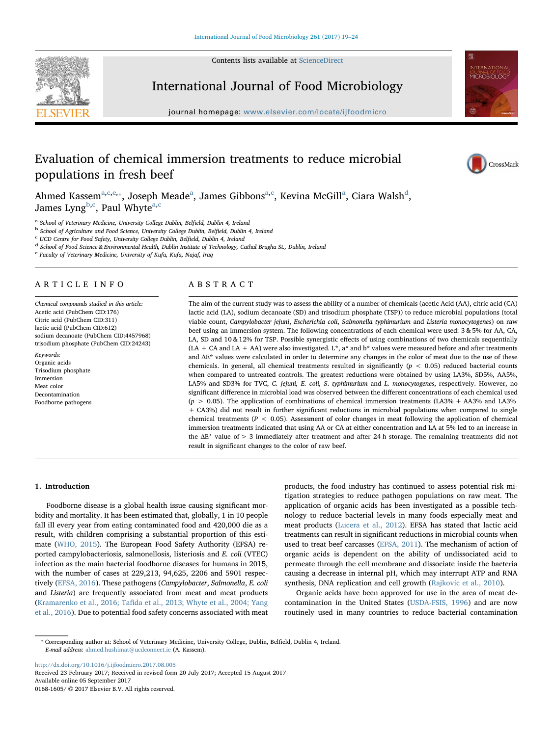Contents lists available at [ScienceDirect](http://www.sciencedirect.com/science/journal/01681605)





International Journal of Food Microbiology

journal homepage: [www.elsevier.com/locate/ijfoodmicro](http://www.elsevier.com/locate/ijfoodmicro)

## Evaluation of chemical immersion treatments to reduce microbial populations in fresh beef



Ahmed K[a](#page-2-0)ssem $^{\mathrm{a,c,e,}*}$  $^{\mathrm{a,c,e,}*}$  $^{\mathrm{a,c,e,}*}$  $^{\mathrm{a,c,e,}*}$ , Joseph M[ea](#page-2-0)[d](#page-2-4)e $^{\mathrm{a}}$ , James Gibbons $^{\mathrm{a,c}}$  $^{\mathrm{a,c}}$  $^{\mathrm{a,c}}$  $^{\mathrm{a,c}}$ , Kevina McGill $^{\mathrm{a}}$ , Ciara Walsh $^{\mathrm{d}}$ , James Lyng<sup>[b](#page-2-5)[,c](#page-2-1)</sup>, P[a](#page-2-0)ul Whyte<sup>a,c</sup>

<span id="page-2-5"></span>

<span id="page-2-1"></span>

<span id="page-2-4"></span>

<span id="page-2-0"></span>a School of Veterinary Medicine, University College Dublin, Belfield, Dublin 4, Ireland<br>
<sup>b</sup> School of Agriculture and Food Science, University College Dublin, Belfield, Dublin 4, Ireland<br>
<sup>c</sup> UCD Centre for Food Safety,

<span id="page-2-2"></span><sup>e</sup> Faculty of Veterinary Medicine, University of Kufa, Kufa, Najaf, Iraq

#### ARTICLE INFO

Chemical compounds studied in this article: Acetic acid (PubChem CID:176) Citric acid (PubChem CID:311) lactic acid (PubChem CID:612) sodium decanoate (PubChem CID:4457968) trisodium phosphate (PubChem CID:24243)

Keywords: Organic acids Trisodium phosphate Immersion Meat color Decontamination Foodborne pathogens

### ABSTRACT

The aim of the current study was to assess the ability of a number of chemicals (acetic Acid (AA), citric acid (CA) lactic acid (LA), sodium decanoate (SD) and trisodium phosphate (TSP)) to reduce microbial populations (total viable count, Campylobacter jejuni, Escherichia coli, Salmonella typhimurium and Listeria monocytogenes) on raw beef using an immersion system. The following concentrations of each chemical were used: 3 & 5% for AA, CA, LA, SD and 10 & 12% for TSP. Possible synergistic effects of using combinations of two chemicals sequentially (LA + CA and LA + AA) were also investigated. L\*, a\* and b\* values were measured before and after treatments and ΔE\* values were calculated in order to determine any changes in the color of meat due to the use of these chemicals. In general, all chemical treatments resulted in significantly ( $p < 0.05$ ) reduced bacterial counts when compared to untreated controls. The greatest reductions were obtained by using LA3%, SD5%, AA5%, LA5% and SD3% for TVC, C. jejuni, E. coli, S. typhimurium and L. monocytogenes, respectively. However, no significant difference in microbial load was observed between the different concentrations of each chemical used  $(p > 0.05)$ . The application of combinations of chemical immersion treatments (LA3% + AA3% and LA3% + CA3%) did not result in further significant reductions in microbial populations when compared to single chemical treatments ( $P < 0.05$ ). Assessment of color changes in meat following the application of chemical immersion treatments indicated that using AA or CA at either concentration and LA at 5% led to an increase in the ΔE\* value of > 3 immediately after treatment and after 24 h storage. The remaining treatments did not result in significant changes to the color of raw beef.

### 1. Introduction

Foodborne disease is a global health issue causing significant morbidity and mortality. It has been estimated that, globally, 1 in 10 people fall ill every year from eating contaminated food and 420,000 die as a result, with children comprising a substantial proportion of this estimate ([WHO, 2015\)](#page-7-0). The European Food Safety Authority (EFSA) reported campylobacteriosis, salmonellosis, listeriosis and E. coli (VTEC) infection as the main bacterial foodborne diseases for humans in 2015, with the number of cases at 229,213, 94,625, 2206 and 5901 respectively [\(EFSA, 2016](#page-6-0)). These pathogens (Campylobacter, Salmonella, E. coli and Listeria) are frequently associated from meat and meat products (Kramarenko et al., 2016; Tafi[da et al., 2013; Whyte et al., 2004; Yang](#page-7-1) [et al., 2016\)](#page-7-1). Due to potential food safety concerns associated with meat products, the food industry has continued to assess potential risk mitigation strategies to reduce pathogen populations on raw meat. The application of organic acids has been investigated as a possible technology to reduce bacterial levels in many foods especially meat and meat products [\(Lucera et al., 2012](#page-7-2)). EFSA has stated that lactic acid treatments can result in significant reductions in microbial counts when used to treat beef carcasses [\(EFSA, 2011\)](#page-6-1). The mechanism of action of organic acids is dependent on the ability of undissociated acid to permeate through the cell membrane and dissociate inside the bacteria causing a decrease in internal pH, which may interrupt ATP and RNA synthesis, DNA replication and cell growth ([Rajkovic et al., 2010\)](#page-7-3).

Organic acids have been approved for use in the area of meat decontamination in the United States ([USDA-FSIS, 1996](#page-7-4)) and are now routinely used in many countries to reduce bacterial contamination

<http://dx.doi.org/10.1016/j.ijfoodmicro.2017.08.005> Received 23 February 2017; Received in revised form 20 July 2017; Accepted 15 August 2017 Available online 05 September 2017 0168-1605/ © 2017 Elsevier B.V. All rights reserved.

<span id="page-2-3"></span><sup>⁎</sup> Corresponding author at: School of Veterinary Medicine, University College, Dublin, Belfield, Dublin 4, Ireland. E-mail address: [ahmed.hushimat@ucdconnect.ie](mailto:ahmed.hushimat@ucdconnect.ie) (A. Kassem).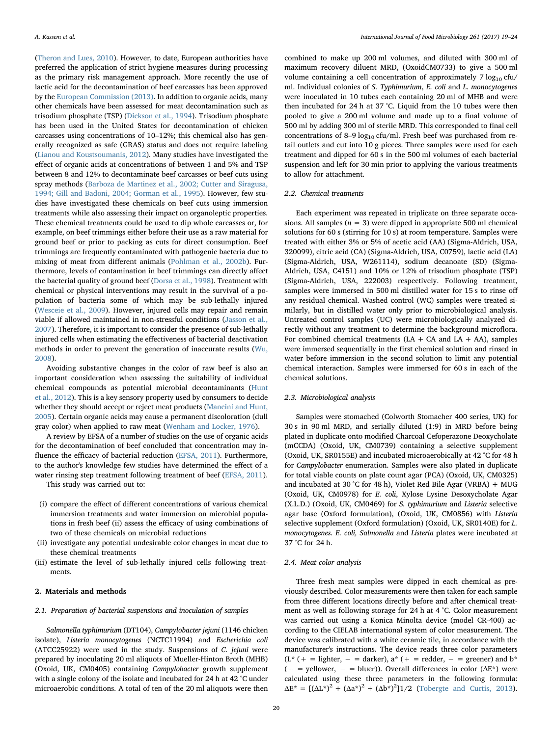([Theron and Lues, 2010](#page-7-5)). However, to date, European authorities have preferred the application of strict hygiene measures during processing as the primary risk management approach. More recently the use of lactic acid for the decontamination of beef carcasses has been approved by the [European Commission \(2013\)](#page-6-2). In addition to organic acids, many other chemicals have been assessed for meat decontamination such as trisodium phosphate (TSP) ([Dickson et al., 1994\)](#page-6-3). Trisodium phosphate has been used in the United States for decontamination of chicken carcasses using concentrations of 10–12%; this chemical also has generally recognized as safe (GRAS) status and does not require labeling ([Lianou and Koustsoumanis, 2012](#page-7-6)). Many studies have investigated the effect of organic acids at concentrations of between 1 and 5% and TSP between 8 and 12% to decontaminate beef carcasses or beef cuts using spray methods ([Barboza de Martinez et al., 2002; Cutter and Siragusa,](#page-6-4) [1994; Gill and Badoni, 2004; Gorman et al., 1995\)](#page-6-4). However, few studies have investigated these chemicals on beef cuts using immersion treatments while also assessing their impact on organoleptic properties. These chemical treatments could be used to dip whole carcasses or, for example, on beef trimmings either before their use as a raw material for ground beef or prior to packing as cuts for direct consumption. Beef trimmings are frequently contaminated with pathogenic bacteria due to mixing of meat from different animals [\(Pohlman et al., 2002b\)](#page-7-7). Furthermore, levels of contamination in beef trimmings can directly affect the bacterial quality of ground beef ([Dorsa et al., 1998](#page-6-5)). Treatment with chemical or physical interventions may result in the survival of a population of bacteria some of which may be sub-lethally injured ([Wesceie et al., 2009\)](#page-7-8). However, injured cells may repair and remain viable if allowed maintained in non-stressful conditions [\(Jasson et al.,](#page-7-9) [2007\)](#page-7-9). Therefore, it is important to consider the presence of sub-lethally injured cells when estimating the effectiveness of bacterial deactivation methods in order to prevent the generation of inaccurate results ([Wu,](#page-7-10) [2008\)](#page-7-10).

Avoiding substantive changes in the color of raw beef is also an important consideration when assessing the suitability of individual chemical compounds as potential microbial decontaminants ([Hunt](#page-7-11) [et al., 2012\)](#page-7-11). This is a key sensory property used by consumers to decide whether they should accept or reject meat products ([Mancini and Hunt,](#page-7-12) [2005\)](#page-7-12). Certain organic acids may cause a permanent discoloration (dull gray color) when applied to raw meat ([Wenham and Locker, 1976\)](#page-7-13).

A review by EFSA of a number of studies on the use of organic acids for the decontamination of beef concluded that concentration may influence the efficacy of bacterial reduction ([EFSA, 2011](#page-6-1)). Furthermore, to the author's knowledge few studies have determined the effect of a water rinsing step treatment following treatment of beef [\(EFSA, 2011](#page-6-1)). This study was carried out to:

- (i) compare the effect of different concentrations of various chemical immersion treatments and water immersion on microbial populations in fresh beef (ii) assess the efficacy of using combinations of two of these chemicals on microbial reductions
- (ii) investigate any potential undesirable color changes in meat due to these chemical treatments
- (iii) estimate the level of sub-lethally injured cells following treatments.

#### 2. Materials and methods

#### 2.1. Preparation of bacterial suspensions and inoculation of samples

Salmonella typhimurium (DT104), Campylobacter jejuni (1146 chicken isolate), Listeria monocytogenes (NCTC11994) and Escherichia coli (ATCC25922) were used in the study. Suspensions of C. jejuni were prepared by inoculating 20 ml aliquots of Mueller-Hinton Broth (MHB) (Oxoid, UK, CM0405) containing Campylobacter growth supplement with a single colony of the isolate and incubated for 24 h at 42 °C under microaerobic conditions. A total of ten of the 20 ml aliquots were then

combined to make up 200 ml volumes, and diluted with 300 ml of maximum recovery diluent MRD, (OxoidCM0733) to give a 500 ml volume containing a cell concentration of approximately  $7 \log_{10} c f u$ / ml. Individual colonies of S. Typhimurium, E. coli and L. monocytogenes were inoculated in 10 tubes each containing 20 ml of MHB and were then incubated for 24 h at 37 °C. Liquid from the 10 tubes were then pooled to give a 200 ml volume and made up to a final volume of 500 ml by adding 300 ml of sterile MRD. This corresponded to final cell concentrations of 8-9  $log_{10}$  cfu/ml. Fresh beef was purchased from retail outlets and cut into 10 g pieces. Three samples were used for each treatment and dipped for 60 s in the 500 ml volumes of each bacterial suspension and left for 30 min prior to applying the various treatments to allow for attachment.

#### 2.2. Chemical treatments

Each experiment was repeated in triplicate on three separate occasions. All samples ( $n = 3$ ) were dipped in appropriate 500 ml chemical solutions for 60 s (stirring for 10 s) at room temperature. Samples were treated with either 3% or 5% of acetic acid (AA) (Sigma-Aldrich, USA, 320099), citric acid (CA) (Sigma-Aldrich, USA, C0759), lactic acid (LA) (Sigma-Aldrich, USA, W261114), sodium decanoate (SD) (Sigma-Aldrich, USA, C4151) and 10% or 12% of trisodium phosphate (TSP) (Sigma-Aldrich, USA, 222003) respectively. Following treatment, samples were immersed in 500 ml distilled water for 15 s to rinse off any residual chemical. Washed control (WC) samples were treated similarly, but in distilled water only prior to microbiological analysis. Untreated control samples (UC) were microbiologically analyzed directly without any treatment to determine the background microflora. For combined chemical treatments (LA + CA and LA + AA), samples were immersed sequentially in the first chemical solution and rinsed in water before immersion in the second solution to limit any potential chemical interaction. Samples were immersed for 60 s in each of the chemical solutions.

#### 2.3. Microbiological analysis

Samples were stomached (Colworth Stomacher 400 series, UK) for 30 s in 90 ml MRD, and serially diluted (1:9) in MRD before being plated in duplicate onto modified Charcoal Cefoperazone Deoxycholate (mCCDA) (Oxoid, UK, CM0739) containing a selective supplement (Oxoid, UK, SR0155E) and incubated microaerobically at 42 °C for 48 h for Campylobacter enumeration. Samples were also plated in duplicate for total viable counts on plate count agar (PCA) (Oxoid, UK, CM0325) and incubated at 30 °C for 48 h), Violet Red Bile Agar (VRBA) + MUG (Oxoid, UK, CM0978) for E. coli, Xylose Lysine Desoxycholate Agar (X.L.D.) (Oxoid, UK, CM0469) for S. typhimurium and Listeria selective agar base (Oxford formulation), (Oxoid, UK, CM0856) with Listeria selective supplement (Oxford formulation) (Oxoid, UK, SR0140E) for L. monocytogenes. E. coli, Salmonella and Listeria plates were incubated at 37 °C for 24 h.

#### 2.4. Meat color analysis

Three fresh meat samples were dipped in each chemical as previously described. Color measurements were then taken for each sample from three different locations directly before and after chemical treatment as well as following storage for 24 h at 4 °C. Color measurement was carried out using a Konica Minolta device (model CR-400) according to the CIELAB international system of color measurement. The device was calibrated with a white ceramic tile, in accordance with the manufacturer's instructions. The device reads three color parameters  $(L^*$  (+ = lighter, - = darker),  $a^*$  (+ = redder, - = greener) and  $b^*$ (+ = yellower, - = bluer)). Overall differences in color ( $\Delta E^*$ ) were calculated using these three parameters in the following formula:  $\Delta E^* = [(\Delta L^*)^2 + (\Delta a^*)^2 + (\Delta b^*)^2]1/2$  ([Tobergte and Curtis, 2013](#page-7-14)).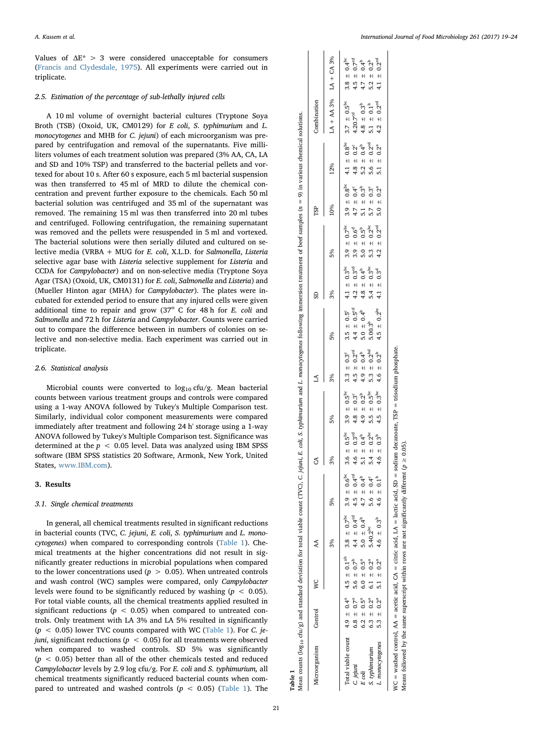Values of  $\Delta E^*$  > 3 were considered unacceptable for consumers ([Francis and Clydesdale, 1975](#page-6-6)). All experiments were carried out in triplicate.

#### 2.5. Estimation of the percentage of sub-lethally injured cells

A 10 ml volume of overnight bacterial cultures (Tryptone Soya Broth (TSB) (Oxoid, UK, CM0129) for E coli, S. typhimurium and L. monocytogenes and MHB for C. jejuni) of each microorganism was prepared by centrifugation and removal of the supernatants. Five milliliters volumes of each treatment solution was prepared (3% AA, CA, LA and SD and 10% TSP) and transferred to the bacterial pellets and vortexed for about 10 s. After 60 s exposure, each 5 ml bacterial suspension was then transferred to 45 ml of MRD to dilute the chemical concentration and prevent further exposure to the chemicals. Each 50 ml bacterial solution was centrifuged and 35 ml of the supernatant was removed. The remaining 15 ml was then transferred into 20 ml tubes and centrifuged. Following centrifugation, the remaining supernatant was removed and the pellets were resuspended in 5 ml and vortexed. The bacterial solutions were then serially diluted and cultured on selective media (VRBA + MUG for E. coli, X.L.D. for Salmonella, Listeria selective agar base with Listeria selective supplement for Listeria and CCDA for Campylobacter) and on non-selective media (Tryptone Soya Agar (TSA) (Oxoid, UK, CM0131) for E. coli, Salmonella and Listeria) and (Mueller Hinton agar (MHA) for Campylobacter). The plates were incubated for extended period to ensure that any injured cells were given additional time to repair and grow  $(37° C$  for 48 h for E. coli and Salmonella and 72 h for Listeria and Campylobacter. Counts were carried out to compare the difference between in numbers of colonies on selective and non-selective media. Each experiment was carried out in triplicate.

#### 2.6. Statistical analysis

Microbial counts were converted to  $log_{10}$  cfu/g. Mean bacterial counts between various treatment groups and controls were compared using a 1-way ANOVA followed by Tukey's Multiple Comparison test. Similarly, individual color component measurements were compared immediately after treatment and following 24 h' storage using a 1-way ANOVA followed by Tukey's Multiple Comparison test. Significance was determined at the  $p < 0.05$  level. Data was analyzed using IBM SPSS software (IBM SPSS statistics 20 Software, Armonk, New York, United States, [www.IBM.com\)](http://www.IBM.com).

#### 3. Results

#### 3.1. Single chemical treatments

In general, all chemical treatments resulted in significant reductions in bacterial counts (TVC, C. jejuni, E. coli, S. typhimurium and L. monocytogenes) when compared to corresponding controls [\(Table 1\)](#page-4-0). Chemical treatments at the higher concentrations did not result in significantly greater reductions in microbial populations when compared to the lower concentrations used ( $p > 0.05$ ). When untreated controls and wash control (WC) samples were compared, only Campylobacter levels were found to be significantly reduced by washing  $(p < 0.05)$ . For total viable counts, all the chemical treatments applied resulted in significant reductions ( $p < 0.05$ ) when compared to untreated controls. Only treatment with LA 3% and LA 5% resulted in significantly  $(p < 0.05)$  lower TVC counts compared with WC [\(Table 1](#page-4-0)). For C. jejuni, significant reductions ( $p < 0.05$ ) for all treatments were observed when compared to washed controls. SD 5% was significantly  $(p < 0.05)$  better than all of the other chemicals tested and reduced Campylobacter levels by 2.9 log cfu/g. For E. coli and S. typhimurium, all chemical treatments significantly reduced bacterial counts when compared to untreated and washed controls ( $p < 0.05$ ) [\(Table 1](#page-4-0)). The

<span id="page-4-0"></span>

| coorganism                                                                 | Control                                                                                   | Š                                                                                                         | AA                                                                                                                              |                                                                                                                 | రే                                                                                                                                                            |                                                                                                                                                               | ₹                                                                                                                              |                                                                                                                     | GS                                                                                                                                                                                  |                                                                                                                                                                                                                                        | TSP                                                                                                        |                                                                                                                  | Combination                                                                                                                               |                                                                                                                                                                                |
|----------------------------------------------------------------------------|-------------------------------------------------------------------------------------------|-----------------------------------------------------------------------------------------------------------|---------------------------------------------------------------------------------------------------------------------------------|-----------------------------------------------------------------------------------------------------------------|---------------------------------------------------------------------------------------------------------------------------------------------------------------|---------------------------------------------------------------------------------------------------------------------------------------------------------------|--------------------------------------------------------------------------------------------------------------------------------|---------------------------------------------------------------------------------------------------------------------|-------------------------------------------------------------------------------------------------------------------------------------------------------------------------------------|----------------------------------------------------------------------------------------------------------------------------------------------------------------------------------------------------------------------------------------|------------------------------------------------------------------------------------------------------------|------------------------------------------------------------------------------------------------------------------|-------------------------------------------------------------------------------------------------------------------------------------------|--------------------------------------------------------------------------------------------------------------------------------------------------------------------------------|
|                                                                            |                                                                                           |                                                                                                           | 3%                                                                                                                              | 5%                                                                                                              | 3%                                                                                                                                                            | 5%                                                                                                                                                            | 3%                                                                                                                             | 5%                                                                                                                  | 3%                                                                                                                                                                                  | 5%                                                                                                                                                                                                                                     | 10%                                                                                                        | 12%                                                                                                              | $LA + AA$ 3% $LA + CA$ 3%                                                                                                                 |                                                                                                                                                                                |
| otal viable count $4.9 \pm 0.4^a$<br>.ionocytogenes<br>phimurium<br>jejuni | $6.8 \pm 0.7^a$<br>5.3 $\pm$ 0.2 <sup>a</sup><br>$6.3 \pm 0.2^a$<br>$6.2 \pm 0.5^{\circ}$ | $4.5 \pm 0.1^{ab}$<br>$5.6 \pm 0.7^b$<br>5.1 $\pm$ 0.2 <sup>a</sup><br>$6.1 \pm 0.2^a$<br>$6.0 \pm 0.5^a$ | $3.8 \ \pm \ 0.7^{\rm bc}$<br>$4.4 \pm 0.4^{\text{cd}}$<br>5.0 $\pm$ 0.4 <sup>b</sup><br>4.6 $\pm 0.3^{\circ}$<br>$5.40.2^{bc}$ | $3.9 \pm 0.6^{bc}$<br>$4.5 \pm 0.4^{cd}$<br>$4.7 \pm 0.4^{b}$<br>$5.6 \pm 0.4^{\circ}$<br>4.6 $\pm 0.1^{\circ}$ | $\begin{array}{rcl} 3.6 & \pm & 0.5^{bc} \\ 4.6 & \pm & 0.3^{cd} \\ 5.1 & \pm & 0.4^{b} \\ 5.4 & \pm & 0.2^{bc} \\ \end{array}$<br>4.6 $\pm$ 0.3 <sup>b</sup> | $\begin{array}{rcl} 3.9 & \pm & 0.5^{bc} \\ 4.8 & \pm & 0.3^{c} \\ 4.9 & \pm & 0.2^{b} \\ 5.5 & \pm & 0.5^{bc} \\ \end{array}$<br>4.5 $\pm$ 0.3 <sup>bc</sup> | 4.6 $\pm$ 0.2 <sup>b</sup><br>$3.3 \pm 0.3^{\circ}$<br>$4.5 \pm 0.2^{\circ}$<br>$4.9 \pm 0.4^{\circ}$<br>$5.3 \pm 0.2^{\circ}$ | $4.5 \pm 0.2^{bc}$<br>$3.5 \pm 0.5^{\circ}$<br>$4.4 \pm 0.5^{\circ d}$<br>$5.0 \pm 0.4^{\circ}$<br>$5.00.3^{\circ}$ | $\begin{array}{l} 4.1\pm\ 0.3^{\rm bc}\\ 4.2\pm\ 0.3^{\rm cd}\\ 4.3\pm\ 1.3^{\rm bc}\\ 4.4\pm\ 0.3^{\rm bc}\\ 5.4\pm\ 0.3^{\rm dc}\\ 6.3^{\rm d}\\ 4.1\pm\ 0.3^{\rm d} \end{array}$ | $\begin{array}{rcl} 3.9 & + & 0.7^{bc} \\ 3.9 & + & 0.5^{bc} \\ 5.9 & + & 0.2^{bc} \\ 6.9 & + & 0.2^{bc} \\ 7.9 & + & 0.2^{cd} \\ 8.9 & + & 0.2^{cd} \\ 9.2 & + & 0.2^{cd} \\ 1.2 & + & 0.2^{cd} \\ 4.2 & + & 0.2^{cd} \\ \end{array}$ | $3.9 \pm 0.8^{bc}$<br>$4.7 \pm 0.4^c$<br>5.1 $\pm 0.3^b$<br>$5.7 \pm 0.3^{\circ}$<br>$5.0 \pm 0.2^{\circ}$ | $4.1 \pm 0.8^{bc}$<br>$4.8 \pm 0.2^{c}$<br>$5.2 \pm 0.4^{b}$<br>$5.6 \pm 0.2^{cd}$<br>5.1 $\pm$ 0.2 <sup>a</sup> | $3.7~\pm~0.5^{\rm bc}$<br>4.8 $\pm$ 0.3 <sup>b</sup><br>5.1 $\pm$ 0.1 <sup>b</sup><br>4.2 $\pm$ 0.2 <sup>cd</sup><br>4.20.7 <sup>cd</sup> | $\begin{array}{l} 3.8 ~\pm~ 0.4^{\rm bc} \\ 4.5 ~\pm~ 0.7^{\rm cd} \\ 4.7 ~\pm~ 0.4^{\rm b} \\ 5.2 ~\pm~ 0.2^{\rm b} \\ 6.2^{\rm cd} \\ 4.1 ~\pm~ 0.2^{\rm cd} \\ \end{array}$ |

 $\mathbf{I}$  $\blacksquare$ 

WC = washed control, AA = acetic acid, CA = citric acid, LA = lactic acid, SD = sodium decanoate, TSP = trisodium phosphate.

 $WC =$  washed control,  $AA =$  acetic acid,  $CA =$  citric acid,  $LA =$  lactic acid,  $SD =$  sodium decanoate,  $TSP =$  trisodium phosphate

Means followed by the same superscript within rows are not significantly different ( $p \geq 0.05$ ).

Means followed by the same superscript within rows are not significantly different ( $p \ge 0.05$ )

Mean counts (log<sub>10</sub> cfu/g) and standard deviation for total viable count (TVC), C. jejuni, E. coli, S. typhimurium and L. monocytogenes following immersion treatment of beef samples (n = 9) in various chemical solutions.

Mean counts  $(\log_{10} \text{ctm/g})$  and standard deviation for total viable count (TVC), C. jejuni, E. coli, S. typhimurium and L. monocytogenes following immersion treatment of beef samples (n = 9) in various chemical solutions

Table 1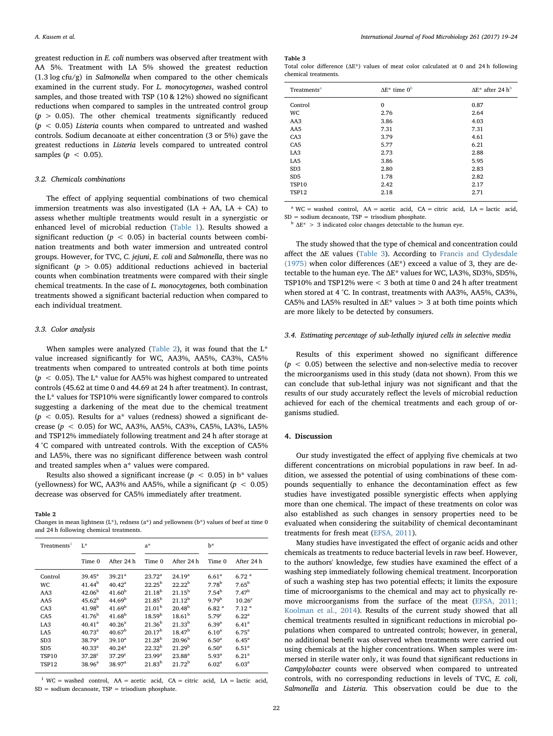greatest reduction in E. coli numbers was observed after treatment with AA 5%. Treatment with LA 5% showed the greatest reduction (1.3 log cfu/g) in Salmonella when compared to the other chemicals examined in the current study. For L. monocytogenes, washed control samples, and those treated with TSP (10 & 12%) showed no significant reductions when compared to samples in the untreated control group  $(p > 0.05)$ . The other chemical treatments significantly reduced  $(p < 0.05)$  Listeria counts when compared to untreated and washed controls. Sodium decanoate at either concentration (3 or 5%) gave the greatest reductions in Listeria levels compared to untreated control samples ( $p < 0.05$ ).

#### 3.2. Chemicals combinations

The effect of applying sequential combinations of two chemical immersion treatments was also investigated  $(LA + AA, LA + CA)$  to assess whether multiple treatments would result in a synergistic or enhanced level of microbial reduction ([Table 1\)](#page-4-0). Results showed a significant reduction ( $p < 0.05$ ) in bacterial counts between combination treatments and both water immersion and untreated control groups. However, for TVC, C. jejuni, E. coli and Salmonella, there was no significant ( $p > 0.05$ ) additional reductions achieved in bacterial counts when combination treatments were compared with their single chemical treatments. In the case of L. monocytogenes, both combination treatments showed a significant bacterial reduction when compared to each individual treatment.

#### 3.3. Color analysis

When samples were analyzed [\(Table 2\)](#page-5-0), it was found that the  $L^*$ value increased significantly for WC, AA3%, AA5%, CA3%, CA5% treatments when compared to untreated controls at both time points ( $p < 0.05$ ). The L<sup>\*</sup> value for AA5% was highest compared to untreated controls (45.62 at time 0 and 44.69 at 24 h after treatment). In contrast, the L\* values for TSP10% were significantly lower compared to controls suggesting a darkening of the meat due to the chemical treatment ( $p$  < 0.05). Results for a\* values (redness) showed a significant decrease ( $p < 0.05$ ) for WC, AA3%, AA5%, CA3%, CA5%, LA3%, LA5% and TSP12% immediately following treatment and 24 h after storage at 4 °C compared with untreated controls. With the exception of CA5% and LA5%, there was no significant difference between wash control and treated samples when a\* values were compared.

Results also showed a significant increase ( $p < 0.05$ ) in b\* values (yellowness) for WC, AA3% and AA5%, while a significant ( $p < 0.05$ ) decrease was observed for CA5% immediately after treatment.

<span id="page-5-0"></span>Table 2

Changes in mean lightness (L\*), redness (a\*) and yellowness (b\*) values of beef at time 0 and 24 h following chemical treatments.

| Treatments <sup>1</sup> | L*                 |                    | $a^*$              |                    | h*                |                    |
|-------------------------|--------------------|--------------------|--------------------|--------------------|-------------------|--------------------|
|                         | Time 0             | After 24 h         | Time 0             | After 24 h         | Time 0            | After 24 h         |
| Control                 | $39.45^{\rm a}$    | 39.21 <sup>a</sup> | $23.72^a$          | 24.19 <sup>a</sup> | 6.61 <sup>a</sup> | 6.72 <sup>a</sup>  |
| <b>WC</b>               | $41.44^{b}$        | $40.42^{\rm a}$    | $22.25^{\rm b}$    | 22.22 <sup>b</sup> | 7.78 <sup>b</sup> | $7.65^{\rm b}$     |
| AA3                     | 42.06 <sup>b</sup> | 41.60 <sup>b</sup> | $21.18^{b}$        | $21.15^{b}$        | 7.54 <sup>b</sup> | 7.47 <sup>b</sup>  |
| AA5                     | $45.62^b$          | 44.69 <sup>b</sup> | $21.85^{\rm b}$    | $21.12^b$          | 979 <sup>b</sup>  | 10.26 <sup>c</sup> |
| CA3                     | $41.98^{b}$        | 41.69 <sup>b</sup> | 21.01 <sup>b</sup> | $20.48^{b}$        | 6.82 <sup>a</sup> | $7.12^{a}$         |
| CAS                     | 41.76 <sup>b</sup> | $41.68^{\rm b}$    | 18.59 <sup>b</sup> | 18.61 <sup>b</sup> | 5.79 <sup>c</sup> | $6.22^{a}$         |
| LA <sub>3</sub>         | 40.41 <sup>a</sup> | 40.26 <sup>a</sup> | 21.36 <sup>b</sup> | $21.33^{b}$        | $6.39^{a}$        | 6.41 <sup>a</sup>  |
| LA <sub>5</sub>         | $40.73^{\rm a}$    | 40.67 <sup>b</sup> | 20.17 <sup>b</sup> | 18.47 <sup>b</sup> | $6.10^{a}$        | $6.75^{\rm a}$     |
| SD <sub>3</sub>         | 38.79 <sup>a</sup> | $39.10^{a}$        | $21.28^{b}$        | 20.96 <sup>b</sup> | 6.50 <sup>a</sup> | $6.45^{\rm a}$     |
| SD <sub>5</sub>         | $40.33^{a}$        | 40.24 <sup>a</sup> | $22.32^{b}$        | 21.29 <sup>b</sup> | 6.50 <sup>a</sup> | 6.51 <sup>a</sup>  |
| <b>TSP10</b>            | $37.28^{\circ}$    | $37.29^{\circ}$    | 23.99 <sup>a</sup> | $23.88^{a}$        | $5.93^{a}$        | $6.21^{a}$         |
| <b>TSP12</b>            | $38.96^a$          | 38.97 <sup>a</sup> | $21.83^{b}$        | $21.72^b$          | 6.02 <sup>a</sup> | 6.03 <sup>a</sup>  |

<span id="page-5-2"></span> $1$  WC = washed control, AA = acetic acid, CA = citric acid, LA = lactic acid, SD = sodium decanoate, TSP = trisodium phosphate.

<span id="page-5-1"></span>Table 3

Total color difference  $(AE^*)$  values of meat color calculated at 0 and 24 h following chemical treatments.

| $\Delta E^*$ time $0^b$ | $\Delta E^*$ after 24 h <sup>b</sup> |
|-------------------------|--------------------------------------|
| 0                       | 0.87                                 |
| 2.76                    | 2.64                                 |
| 3.86                    | 4.03                                 |
| 7.31                    | 7.31                                 |
| 3.79                    | 4.61                                 |
| 5.77                    | 6.21                                 |
| 2.73                    | 2.88                                 |
| 3.86                    | 5.95                                 |
| 2.80                    | 2.83                                 |
| 1.78                    | 2.82                                 |
| 2.42                    | 2.17                                 |
| 2.18                    | 2.71                                 |
|                         |                                      |

<span id="page-5-3"></span><sup>a</sup> WC = washed control,  $AA$  = acetic acid,  $CA$  = citric acid,  $LA$  = lactic acid,  $SD = sodium decanoate, TSP = trisodium phosphate.$ 

<span id="page-5-4"></span> $b \Delta E^*$  > 3 indicated color changes detectable to the human eye.

The study showed that the type of chemical and concentration could affect the ΔE values [\(Table 3\)](#page-5-1). According to [Francis and Clydesdale](#page-6-6) [\(1975\)](#page-6-6) when color differences ( $\Delta E^*$ ) exceed a value of 3, they are detectable to the human eye. The ΔE\* values for WC, LA3%, SD3%, SD5%, TSP10% and TSP12% were < 3 both at time 0 and 24 h after treatment when stored at 4 °C. In contrast, treatments with AA3%, AA5%, CA3%, CA5% and LA5% resulted in  $\Delta$ E\* values > 3 at both time points which are more likely to be detected by consumers.

#### 3.4. Estimating percentage of sub-lethally injured cells in selective media

Results of this experiment showed no significant difference  $(p < 0.05)$  between the selective and non-selective media to recover the microorganisms used in this study (data not shown). From this we can conclude that sub-lethal injury was not significant and that the results of our study accurately reflect the levels of microbial reduction achieved for each of the chemical treatments and each group of organisms studied.

#### 4. Discussion

Our study investigated the effect of applying five chemicals at two different concentrations on microbial populations in raw beef. In addition, we assessed the potential of using combinations of these compounds sequentially to enhance the decontamination effect as few studies have investigated possible synergistic effects when applying more than one chemical. The impact of these treatments on color was also established as such changes in sensory properties need to be evaluated when considering the suitability of chemical decontaminant treatments for fresh meat ([EFSA, 2011\)](#page-6-1).

Many studies have investigated the effect of organic acids and other chemicals as treatments to reduce bacterial levels in raw beef. However, to the authors' knowledge, few studies have examined the effect of a washing step immediately following chemical treatment. Incorporation of such a washing step has two potential effects; it limits the exposure time of microorganisms to the chemical and may act to physically remove microorganisms from the surface of the meat ([EFSA, 2011;](#page-6-1) [Koolman et al., 2014\)](#page-6-1). Results of the current study showed that all chemical treatments resulted in significant reductions in microbial populations when compared to untreated controls; however, in general, no additional benefit was observed when treatments were carried out using chemicals at the higher concentrations. When samples were immersed in sterile water only, it was found that significant reductions in Campylobacter counts were observed when compared to untreated controls, with no corresponding reductions in levels of TVC, E. coli, Salmonella and Listeria. This observation could be due to the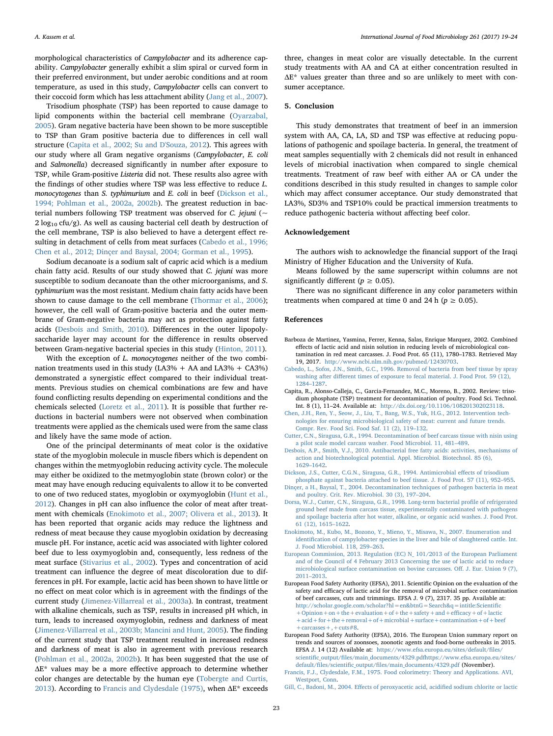morphological characteristics of Campylobacter and its adherence capability. Campylobacter generally exhibit a slim spiral or curved form in their preferred environment, but under aerobic conditions and at room temperature, as used in this study, Campylobacter cells can convert to their coccoid form which has less attachment ability [\(Jang et al., 2007](#page-7-15)).

Trisodium phosphate (TSP) has been reported to cause damage to lipid components within the bacterial cell membrane ([Oyarzabal,](#page-7-16) [2005\)](#page-7-16). Gram negative bacteria have been shown to be more susceptible to TSP than Gram positive bacteria due to differences in cell wall structure ([Capita et al., 2002; Su and D'Souza, 2012\)](#page-6-7). This agrees with our study where all Gram negative organisms (Campylobacter, E. coli and Salmonella) decreased significantly in number after exposure to TSP, while Gram-positive Listeria did not. These results also agree with the findings of other studies where TSP was less effective to reduce L. monocytogenes than S. typhimurium and E. coli in beef ([Dickson et al.,](#page-6-3) [1994; Pohlman et al., 2002a, 2002b](#page-6-3)). The greatest reduction in bacterial numbers following TSP treatment was observed for  $C$ . jejuni (~  $2 \log_{10} c f u/g$ ). As well as causing bacterial cell death by destruction of the cell membrane, TSP is also believed to have a detergent effect resulting in detachment of cells from meat surfaces [\(Cabedo et al., 1996;](#page-6-8) [Chen et al., 2012; Dinçer and Baysal, 2004; Gorman et al., 1995\)](#page-6-8).

Sodium decanoate is a sodium salt of capric acid which is a medium chain fatty acid. Results of our study showed that C. jejuni was more susceptible to sodium decanoate than the other microorganisms, and S. typhimurium was the most resistant. Medium chain fatty acids have been shown to cause damage to the cell membrane ([Thormar et al., 2006](#page-7-17)); however, the cell wall of Gram-positive bacteria and the outer membrane of Gram-negative bacteria may act as protection against fatty acids ([Desbois and Smith, 2010\)](#page-6-9). Differences in the outer lipopolysaccharide layer may account for the difference in results observed between Gram-negative bacterial species in this study [\(Hinton, 2011](#page-7-18)).

With the exception of L. monocytogenes neither of the two combination treatments used in this study (LA3% + AA and LA3% + CA3%) demonstrated a synergistic effect compared to their individual treatments. Previous studies on chemical combinations are few and have found conflicting results depending on experimental conditions and the chemicals selected ([Loretz et al., 2011\)](#page-7-19). It is possible that further reductions in bacterial numbers were not observed when combination treatments were applied as the chemicals used were from the same class and likely have the same mode of action.

One of the principal determinants of meat color is the oxidative state of the myoglobin molecule in muscle fibers which is dependent on changes within the metmyoglobin reducing activity cycle. The molecule may either be oxidized to the metmyoglobin state (brown color) or the meat may have enough reducing equivalents to allow it to be converted to one of two reduced states, myoglobin or oxymyoglobin [\(Hunt et al.,](#page-7-11) [2012\)](#page-7-11). Changes in pH can also influence the color of meat after treatment with chemicals ([Enokimoto et al., 2007; Olivera et al., 2013](#page-6-10)). It has been reported that organic acids may reduce the lightness and redness of meat because they cause myoglobin oxidation by decreasing muscle pH. For instance, acetic acid was associated with lighter colored beef due to less oxymyoglobin and, consequently, less redness of the meat surface [\(Stivarius et al., 2002\)](#page-7-20). Types and concentration of acid treatment can influence the degree of meat discoloration due to differences in pH. For example, lactic acid has been shown to have little or no effect on meat color which is in agreement with the findings of the current study ([Jimenez-Villarreal et al., 2003a](#page-7-21)). In contrast, treatment with alkaline chemicals, such as TSP, results in increased pH which, in turn, leads to increased oxymyoglobin, redness and darkness of meat ([Jimenez-Villarreal et al., 2003b; Mancini and Hunt, 2005](#page-7-22)). The finding of the current study that TSP treatment resulted in increased redness and darkness of meat is also in agreement with previous research ([Pohlman et al., 2002a, 2002b\)](#page-7-23). It has been suggested that the use of ΔE\* values may be a more effective approach to determine whether color changes are detectable by the human eye ([Tobergte and Curtis,](#page-7-14) [2013\)](#page-7-14). According to [Francis and Clydesdale \(1975\),](#page-6-6) when ΔE\* exceeds

three, changes in meat color are visually detectable. In the current study treatments with AA and CA at either concentration resulted in ΔE\* values greater than three and so are unlikely to meet with consumer acceptance.

#### 5. Conclusion

This study demonstrates that treatment of beef in an immersion system with AA, CA, LA, SD and TSP was effective at reducing populations of pathogenic and spoilage bacteria. In general, the treatment of meat samples sequentially with 2 chemicals did not result in enhanced levels of microbial inactivation when compared to single chemical treatments. Treatment of raw beef with either AA or CA under the conditions described in this study resulted in changes to sample color which may affect consumer acceptance. Our study demonstrated that LA3%, SD3% and TSP10% could be practical immersion treatments to reduce pathogenic bacteria without affecting beef color.

#### Acknowledgement

The authors wish to acknowledge the financial support of the Iraqi Ministry of Higher Education and the University of Kufa.

Means followed by the same superscript within columns are not significantly different ( $p \geq 0.05$ ).

There was no significant difference in any color parameters within treatments when compared at time 0 and 24 h ( $p \ge 0.05$ ).

#### References

- <span id="page-6-4"></span>Barboza de Martinez, Yasmina, Ferrer, Kenna, Salas, Enrique Marquez, 2002. Combined effects of lactic acid and nisin solution in reducing levels of microbiological contamination in red meat carcasses. J. Food Prot. 65 (11), 1780–1783. Retrieved May 19, 2017. [http://www.ncbi.nlm.nih.gov/pubmed/12430703.](http://www.ncbi.nlm.nih.gov/pubmed/12430703)
- <span id="page-6-8"></span>[Cabedo, L., Sofos, J.N., Smith, G.C., 1996. Removal of bacteria from beef tissue by spray](http://refhub.elsevier.com/S0168-1605(17)30340-9/rf0010) washing after diff[erent times of exposure to fecal material. J. Food Prot. 59 \(12\),](http://refhub.elsevier.com/S0168-1605(17)30340-9/rf0010) 1284–[1287](http://refhub.elsevier.com/S0168-1605(17)30340-9/rf0010).
- <span id="page-6-7"></span>Capita, R., Alonso-Calleja, C., Garcia-Fernandez, M.C., Moreno, B., 2002. Review: trisodium phosphate (TSP) treatment for decontamination of poultry. Food Sci. Technol. Int. 8 (1), 11–24. Available at: [http://dx.doi.org/10.1106/108201302023118.](http://dx.doi.org/10.1106/108201302023118)
- [Chen, J.H., Ren, Y., Seow, J., Liu, T., Bang, W.S., Yuk, H.G., 2012. Intervention tech](http://refhub.elsevier.com/S0168-1605(17)30340-9/rf0020)[nologies for ensuring microbiological safety of meat: current and future trends.](http://refhub.elsevier.com/S0168-1605(17)30340-9/rf0020) [Compr. Rev. Food Sci. Food Saf. 11 \(2\), 119](http://refhub.elsevier.com/S0168-1605(17)30340-9/rf0020)–132.
- [Cutter, C.N., Siragusa, G.R., 1994. Decontamination of beef carcass tissue with nisin using](http://refhub.elsevier.com/S0168-1605(17)30340-9/rf2800) [a pilot scale model carcass washer. Food Microbiol. 11, 481](http://refhub.elsevier.com/S0168-1605(17)30340-9/rf2800)–489.
- <span id="page-6-9"></span>[Desbois, A.P., Smith, V.J., 2010. Antibacterial free fatty acids: activities, mechanisms of](http://refhub.elsevier.com/S0168-1605(17)30340-9/rf0025) [action and biotechnological potential. Appl. Microbiol. Biotechnol. 85 \(6\),](http://refhub.elsevier.com/S0168-1605(17)30340-9/rf0025) 1629–[1642](http://refhub.elsevier.com/S0168-1605(17)30340-9/rf0025).
- <span id="page-6-3"></span>[Dickson, J.S., Cutter, C.G.N., Siragusa, G.R., 1994. Antimicrobial e](http://refhub.elsevier.com/S0168-1605(17)30340-9/rf0030)ffects of trisodium [phosphate against bacteria attached to beef tissue. J. Food Prot. 57 \(11\), 952](http://refhub.elsevier.com/S0168-1605(17)30340-9/rf0030)–955.
- [Dinçer, a H., Baysal, T., 2004. Decontamination techniques of pathogen bacteria in meat](http://refhub.elsevier.com/S0168-1605(17)30340-9/rf0035) [and poultry. Crit. Rev. Microbiol. 30 \(3\), 197](http://refhub.elsevier.com/S0168-1605(17)30340-9/rf0035)–204.
- <span id="page-6-5"></span>[Dorsa, W.J., Cutter, C.N., Siragusa, G.R., 1998. Long-term bacterial pro](http://refhub.elsevier.com/S0168-1605(17)30340-9/rf2700)file of refrigerated [ground beef made from carcass tissue, experimentally contaminated with pathogens](http://refhub.elsevier.com/S0168-1605(17)30340-9/rf2700) [and spoilage bacteria after hot water, alkaline, or organic acid washes. J. Food Prot.](http://refhub.elsevier.com/S0168-1605(17)30340-9/rf2700) [61 \(12\), 1615](http://refhub.elsevier.com/S0168-1605(17)30340-9/rf2700)–1622.
- <span id="page-6-10"></span>[Enokimoto, M., Kubo, M., Bozono, Y., Mieno, Y., Misawa, N., 2007. Enumeration and](http://refhub.elsevier.com/S0168-1605(17)30340-9/rf0040) identifi[cation of campylobacter species in the liver and bile of slaughtered cattle. Int.](http://refhub.elsevier.com/S0168-1605(17)30340-9/rf0040) [J. Food Microbiol. 118, 259](http://refhub.elsevier.com/S0168-1605(17)30340-9/rf0040)–263.
- <span id="page-6-2"></span>[European Commission, 2013. Regulation \(EC\) N\\_ 101/2013 of the European Parliament](http://refhub.elsevier.com/S0168-1605(17)30340-9/rf0045) [and of the Council of 4 February 2013 Concerning the use of lactic acid to reduce](http://refhub.elsevier.com/S0168-1605(17)30340-9/rf0045) [microbiological surface contamination on bovine carcasses. O](http://refhub.elsevier.com/S0168-1605(17)30340-9/rf0045)ff. J. Eur. Union 9 (7), 2011–[2013](http://refhub.elsevier.com/S0168-1605(17)30340-9/rf0045).
- <span id="page-6-1"></span>European Food Safety Authority (EFSA), 2011. Scientific Opinion on the evaluation of the safety and efficacy of lactic acid for the removal of microbial surface contamination of beef carcasses, cuts and trimmings. EFSA J. 9 (7), 2317. 35 pp. Available at: [http://scholar.google.com/scholar?hl=en&btnG=Search&q=intitle:Scienti](http://scholar.google.com/scholar?hl=en&btnG=Search&q=intitle:Scientific+pinionn+hevaluationf+he+afetyndfficacyfacticcidor+he+emovalficrobial+urfaceontaminationfeefarcasses+uts%238)fic [+Opinion+on+the+evaluation+of+the+safety+and+e](http://scholar.google.com/scholar?hl=en&btnG=Search&q=intitle:Scientific+pinionn+hevaluationf+he+afetyndfficacyfacticcidor+he+emovalficrobial+urfaceontaminationfeefarcasses+uts%238)fficacy+of+lactic [+acid+for+the+removal+of+microbial+surface+contamination+of+beef](http://scholar.google.com/scholar?hl=en&btnG=Search&q=intitle:Scientific+pinionn+hevaluationf+he+afetyndfficacyfacticcidor+he+emovalficrobial+urfaceontaminationfeefarcasses+uts%238) [+carcasses+,+cuts#8.](http://scholar.google.com/scholar?hl=en&btnG=Search&q=intitle:Scientific+pinionn+hevaluationf+he+afetyndfficacyfacticcidor+he+emovalficrobial+urfaceontaminationfeefarcasses+uts%238)
- <span id="page-6-0"></span>European Food Safety Authority (EFSA), 2016. The European Union summary report on trends and sources of zoonsoes, zoonotic agents and food-borne outbreaks in 2015. EFSA J. 14 (12) Available at: [https://www.efsa.europa.eu/sites/default/](https://www.efsa.europa.eu/sites/default/files/scientific_output/files/main_documents/4329.pdfhttps://www.efsa.europa.eu/sites/default/files/scientific_output/files/main_documents/4329.pdf)files/ scientific\_output/fi[les/main\\_documents/4329.pdfhttps://www.efsa.europa.eu/sites/](https://www.efsa.europa.eu/sites/default/files/scientific_output/files/main_documents/4329.pdfhttps://www.efsa.europa.eu/sites/default/files/scientific_output/files/main_documents/4329.pdf) default/files/scientific\_output/fi[les/main\\_documents/4329.pdf](https://www.efsa.europa.eu/sites/default/files/scientific_output/files/main_documents/4329.pdfhttps://www.efsa.europa.eu/sites/default/files/scientific_output/files/main_documents/4329.pdf) (November).

Gill, C., Badoni, M., 2004. Eff[ects of peroxyacetic acid, acidi](http://refhub.elsevier.com/S0168-1605(17)30340-9/rf2900)fied sodium chlorite or lactic

<span id="page-6-6"></span>[Francis, F.J., Clydesdale, F.M., 1975. Food colorimetry: Theory and Applications. AVI,](http://refhub.elsevier.com/S0168-1605(17)30340-9/rf0060) [Westport, Conn.](http://refhub.elsevier.com/S0168-1605(17)30340-9/rf0060)